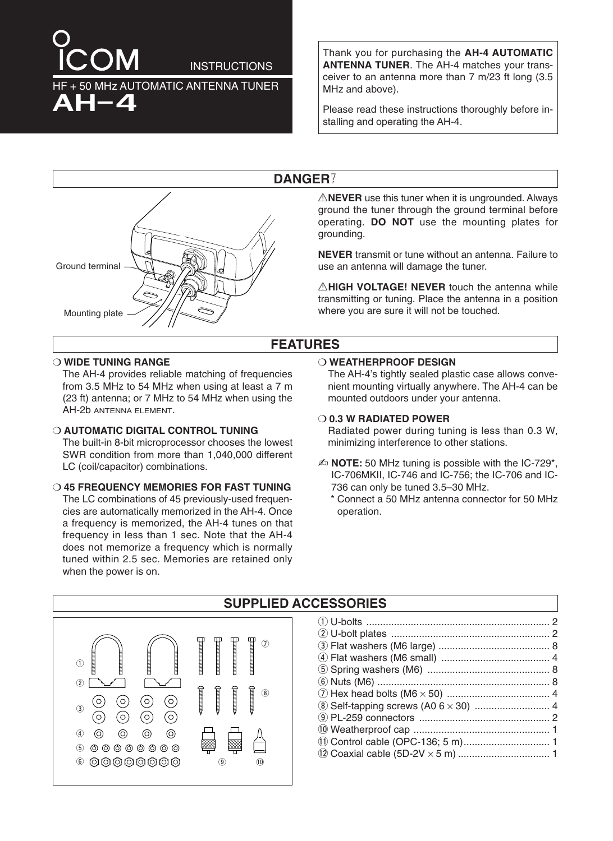# **INSTRUCTIONS** 50 MHz AUTOMATIC ANTENNA TUNER AH-4

Thank you for purchasing the **AH-4 AUTOMATIC ANTENNA TUNER**. The AH-4 matches your transceiver to an antenna more than 7 m/23 ft long (3.5 MHz and above).

Please read these instructions thoroughly before installing and operating the AH-4.

### **DANGER**µ



A**NEVER** use this tuner when it is ungrounded. Always ground the tuner through the ground terminal before operating. **DO NOT** use the mounting plates for grounding.

**NEVER** transmit or tune without an antenna. Failure to use an antenna will damage the tuner.

**AHIGH VOLTAGE! NEVER** touch the antenna while transmitting or tuning. Place the antenna in a position where you are sure it will not be touched.

### **FEATURES**

#### ❍ **WIDE TUNING RANGE**

The AH-4 provides reliable matching of frequencies from 3.5 MHz to 54 MHz when using at least a 7 m (23 ft) antenna; or 7 MHz to 54 MHz when using the AH-2b ANTENNA ELEMENT.

❍ **AUTOMATIC DIGITAL CONTROL TUNING** The built-in 8-bit microprocessor chooses the lowest SWR condition from more than 1,040,000 different LC (coil/capacitor) combinations.

#### ❍ **45 FREQUENCY MEMORIES FOR FAST TUNING** The LC combinations of 45 previously-used frequencies are automatically memorized in the AH-4. Once a frequency is memorized, the AH-4 tunes on that frequency in less than 1 sec. Note that the AH-4 does not memorize a frequency which is normally tuned within 2.5 sec. Memories are retained only when the power is on.

#### ❍ **WEATHERPROOF DESIGN**

The AH-4's tightly sealed plastic case allows convenient mounting virtually anywhere. The AH-4 can be mounted outdoors under your antenna.

#### ❍ **0.3 W RADIATED POWER**

Radiated power during tuning is less than 0.3 W, minimizing interference to other stations.

- ✍ **NOTE:** 50 MHz tuning is possible with the IC-729\*, IC-706MKII, IC-746 and IC-756; the IC-706 and IC-736 can only be tuned 3.5–30 MHz.
	- \* Connect a 50 MHz antenna connector for 50 MHz operation.



#### **SUPPLIED ACCESSORIES**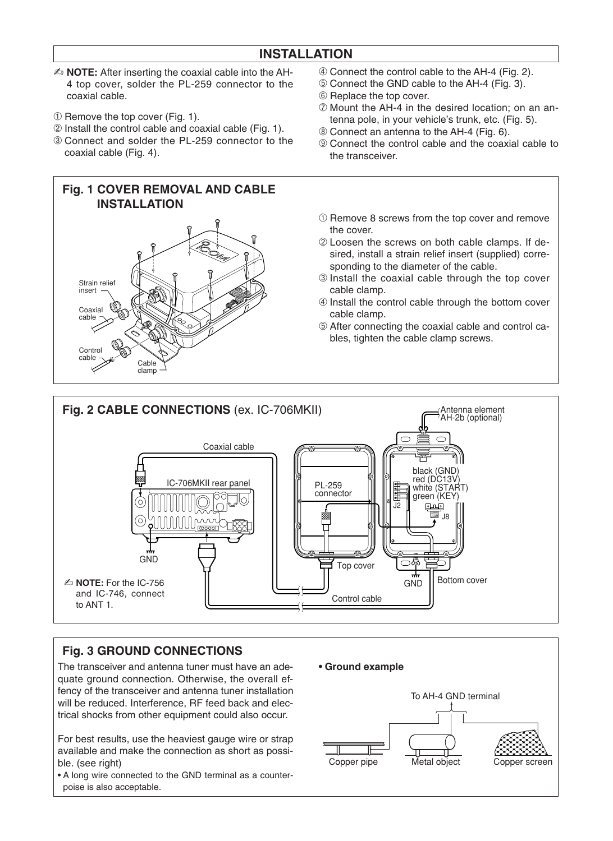### **INSTALLATION**

- ✍ **NOTE:** After inserting the coaxial cable into the AH-4 top cover, solder the PL-259 connector to the coaxial cable.
- ➀ Remove the top cover (Fig. 1).
- ➁ Install the control cable and coaxial cable (Fig. 1).
- ➂ Connect and solder the PL-259 connector to the coaxial cable (Fig. 4).

## **Fig. 1 COVER REMOVAL AND CABLE INSTALLATION** Strain relief insert Coaxial cable Control<br>cable cable Cable clamp

- ➃ Connect the control cable to the AH-4 (Fig. 2).
- ➄ Connect the GND cable to the AH-4 (Fig. 3).
- ➅ Replace the top cover.
- ➆ Mount the AH-4 in the desired location; on an antenna pole, in your vehicle's trunk, etc. (Fig. 5).
- ➇ Connect an antenna to the AH-4 (Fig. 6).
- ➈ Connect the control cable and the coaxial cable to the transceiver.
- ➀ Remove 8 screws from the top cover and remove the cover.

➁ Loosen the screws on both cable clamps. If desired, install a strain relief insert (supplied) corresponding to the diameter of the cable.

- ➂ Install the coaxial cable through the top cover cable clamp.
- ➃ Install the control cable through the bottom cover cable clamp.
- ➄ After connecting the coaxial cable and control cables, tighten the cable clamp screws.



### **Fig. 3 GROUND CONNECTIONS**

The transceiver and antenna tuner must have an adequate ground connection. Otherwise, the overall effency of the transceiver and antenna tuner installation will be reduced. Interference, RF feed back and electrical shocks from other equipment could also occur.

For best results, use the heaviest gauge wire or strap available and make the connection as short as possible. (see right)

• A long wire connected to the GND terminal as a counterpoise is also acceptable.



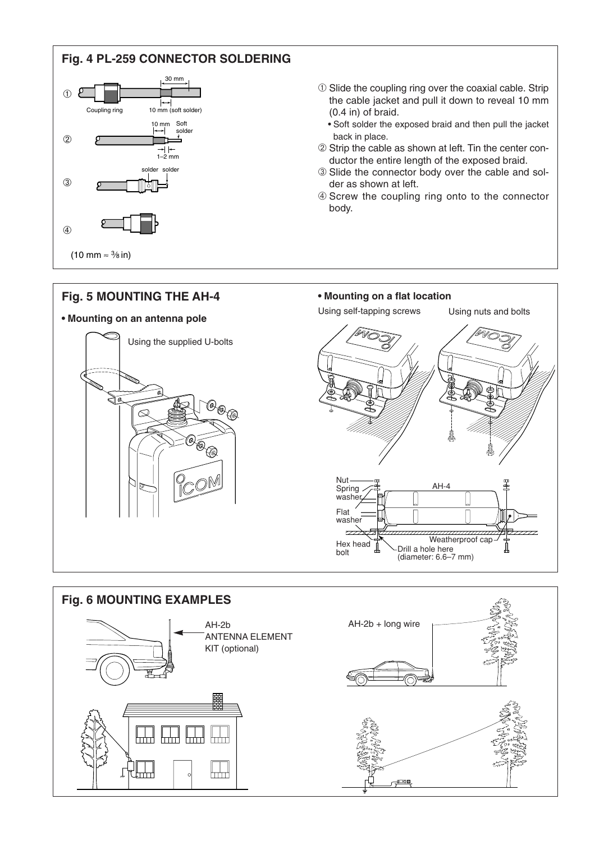### **Fig. 4 PL-259 CONNECTOR SOLDERING**



- ➀ Slide the coupling ring over the coaxial cable. Strip the cable jacket and pull it down to reveal 10 mm (0.4 in) of braid.
	- Soft solder the exposed braid and then pull the jacket back in place.
- ➁ Strip the cable as shown at left. Tin the center conductor the entire length of the exposed braid.
- ➂ Slide the connector body over the cable and solder as shown at left.
- ➃ Screw the coupling ring onto to the connector body.